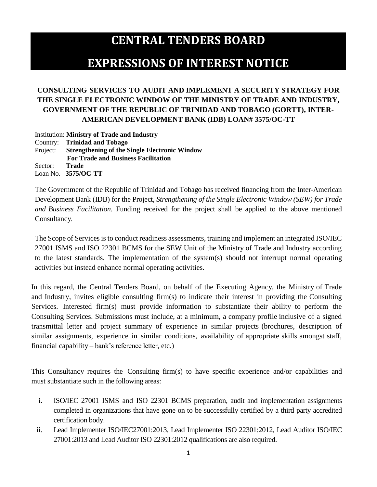## **CENTRAL TENDERS BOARD EXPRESSIONS OF INTEREST NOTICE**

## **CONSULTING SERVICES TO AUDIT AND IMPLEMENT A SECURITY STRATEGY FOR THE SINGLE ELECTRONIC WINDOW OF THE MINISTRY OF TRADE AND INDUSTRY, GOVERNMENT OF THE REPUBLIC OF TRINIDAD AND TOBAGO (GORTT), INTER-AMERICAN DEVELOPMENT BANK (IDB) LOAN# 3575/OC-TT**

Institution: **Ministry of Trade and Industry** Country: **Trinidad and Tobago** Project: **Strengthening of the Single Electronic Window For Trade and Business Facilitation** Sector: **Trade** Loan No. **3575/OC-TT**

The Government of the Republic of Trinidad and Tobago has received financing from the Inter-American Development Bank (IDB) for the Project, *Strengthening of the Single Electronic Window (SEW) for Trade and Business Facilitation*. Funding received for the project shall be applied to the above mentioned Consultancy.

The Scope of Services is to conduct readiness assessments, training and implement an integrated ISO/IEC 27001 ISMS and ISO 22301 BCMS for the SEW Unit of the Ministry of Trade and Industry according to the latest standards. The implementation of the system(s) should not interrupt normal operating activities but instead enhance normal operating activities.

In this regard, the Central Tenders Board, on behalf of the Executing Agency, the Ministry of Trade and Industry, invites eligible consulting firm(s) to indicate their interest in providing the Consulting Services. Interested firm(s) must provide information to substantiate their ability to perform the Consulting Services. Submissions must include, at a minimum, a company profile inclusive of a signed transmittal letter and project summary of experience in similar projects (brochures, description of similar assignments, experience in similar conditions, availability of appropriate skills amongst staff, financial capability – bank's reference letter, etc.)

This Consultancy requires the Consulting firm(s) to have specific experience and/or capabilities and must substantiate such in the following areas:

- i. ISO/IEC 27001 ISMS and ISO 22301 BCMS preparation, audit and implementation assignments completed in organizations that have gone on to be successfully certified by a third party accredited certification body.
- ii. Lead Implementer ISO/IEC27001:2013, Lead Implementer ISO 22301:2012, Lead Auditor ISO/IEC 27001:2013 and Lead Auditor ISO 22301:2012 qualifications are also required.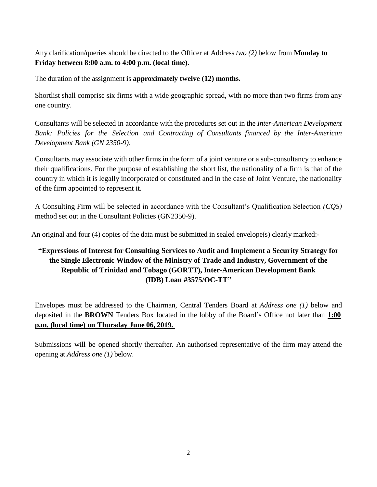Any clarification/queries should be directed to the Officer at Address *two (2)* below from **Monday to Friday between 8:00 a.m. to 4:00 p.m. (local time).**

The duration of the assignment is **approximately twelve (12) months.**

Shortlist shall comprise six firms with a wide geographic spread, with no more than two firms from any one country.

Consultants will be selected in accordance with the procedures set out in the *Inter-American Development Bank: Policies for the Selection and Contracting of Consultants financed by the Inter-American Development Bank (GN 2350-9).*

Consultants may associate with other firms in the form of a joint venture or a sub-consultancy to enhance their qualifications. For the purpose of establishing the short list, the nationality of a firm is that of the country in which it is legally incorporated or constituted and in the case of Joint Venture, the nationality of the firm appointed to represent it.

A Consulting Firm will be selected in accordance with the Consultant's Qualification Selection *(CQS)*  method set out in the Consultant Policies (GN2350-9).

An original and four (4) copies of the data must be submitted in sealed envelope(s) clearly marked:-

## **"Expressions of Interest for Consulting Services to Audit and Implement a Security Strategy for the Single Electronic Window of the Ministry of Trade and Industry, Government of the Republic of Trinidad and Tobago (GORTT), Inter-American Development Bank (IDB) Loan #3575/OC-TT"**

Envelopes must be addressed to the Chairman, Central Tenders Board at *Address one (1)* below and deposited in the **BROWN** Tenders Box located in the lobby of the Board's Office not later than **1:00 p.m. (local time) on Thursday June 06, 2019.**

Submissions will be opened shortly thereafter. An authorised representative of the firm may attend the opening at *Address one (1)* below.